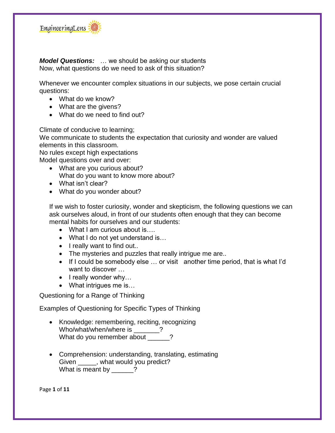

*Model Questions:* … we should be asking our students Now, what questions do we need to ask of this situation?

Whenever we encounter complex situations in our subjects, we pose certain crucial questions:

- What do we know?
- What are the givens?
- What do we need to find out?

Climate of conducive to learning;

We communicate to students the expectation that curiosity and wonder are valued elements in this classroom.

No rules except high expectations

Model questions over and over:

- What are you curious about? What do you want to know more about?
- What isn't clear?
- What do you wonder about?

If we wish to foster curiosity, wonder and skepticism, the following questions we can ask ourselves aloud, in front of our students often enough that they can become mental habits for ourselves and our students:

- What I am curious about is….
- What I do not yet understand is...
- I really want to find out..
- The mysteries and puzzles that really intrigue me are..
- If I could be somebody else ... or visit another time period, that is what I'd want to discover …
- $\bullet$  I really wonder why...
- What intrigues me is...

Questioning for a Range of Thinking

Examples of Questioning for Specific Types of Thinking

- Knowledge: remembering, reciting, recognizing Who/what/when/where is  $\cdot$  ? What do you remember about \_\_\_\_\_?
- Comprehension: understanding, translating, estimating Given , what would you predict? What is meant by  $\frac{?}{?}$

Page **1** of **11**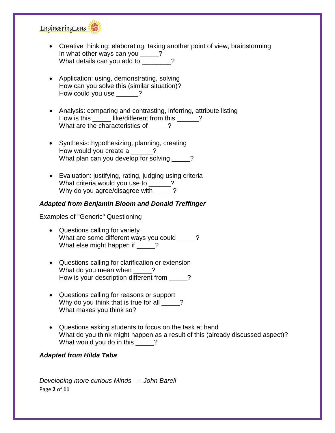

- Creative thinking: elaborating, taking another point of view, brainstorming In what other ways can you \_\_\_\_\_? What details can you add to \_\_\_\_\_\_\_?
- Application: using, demonstrating, solving How can you solve this (similar situation)? How could you use \_\_\_\_\_\_?
- Analysis: comparing and contrasting, inferring, attribute listing How is this \_\_\_\_\_\_ like/different from this \_\_\_\_\_? What are the characteristics of \_\_\_\_?
- Synthesis: hypothesizing, planning, creating How would you create a 2 What plan can you develop for solving \_\_\_\_\_?
- Evaluation: justifying, rating, judging using criteria What criteria would you use to \_\_\_\_\_? Why do you agree/disagree with \_\_\_\_\_?

### *Adapted from Benjamin Bloom and Donald Treffinger*

Examples of "Generic" Questioning

- Questions calling for variety What are some different ways you could  $\qquad$  ? What else might happen if \_\_\_\_?
- Questions calling for clarification or extension What do you mean when  $\frac{1}{2}$ How is your description different from \_\_\_\_\_?
- Questions calling for reasons or support Why do you think that is true for all  $\qquad$  ? What makes you think so?
- Questions asking students to focus on the task at hand What do you think might happen as a result of this (already discussed aspect)? What would you do in this \_\_\_\_\_?

### *Adapted from Hilda Taba*

Page **2** of **11** *Developing more curious Minds -- John Barell*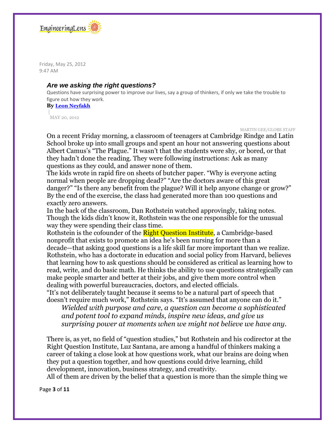

Friday, May 25, 2012 9:47 AM

#### *Are we asking the right questions?*

Questions have surprising power to improve our lives, say a group of thinkers, if only we take the trouble to figure out how they work.

**By [Leon Neyfakh](http://www.bostonglobe.com/staff/neyfakh)**

| MAY 20, 2012

MARTIN GEE/GLOBE STAFF

On a recent Friday morning, a classroom of teenagers at Cambridge Rindge and Latin School broke up into small groups and spent an hour not answering questions about Albert Camus's "The Plague." It wasn't that the students were shy, or bored, or that they hadn't done the reading. They were following instructions: Ask as many questions as they could, and answer none of them.

The kids wrote in rapid fire on sheets of butcher paper. "Why is everyone acting normal when people are dropping dead?" "Are the doctors aware of this great danger?" "Is there any benefit from the plague? Will it help anyone change or grow?" By the end of the exercise, the class had generated more than 100 questions and exactly zero answers.

In the back of the classroom, Dan Rothstein watched approvingly, taking notes. Though the kids didn't know it, Rothstein was the one responsible for the unusual way they were spending their class time.

Rothstein is the cofounder of the **Right Question Institute**, a Cambridge-based nonprofit that exists to promote an idea he's been nursing for more than a decade—that asking good questions is a life skill far more important than we realize. Rothstein, who has a doctorate in education and social policy from Harvard, believes that learning how to ask questions should be considered as critical as learning how to read, write, and do basic math. He thinks the ability to use questions strategically can make people smarter and better at their jobs, and give them more control when dealing with powerful bureaucracies, doctors, and elected officials.

"It's not deliberately taught because it seems to be a natural part of speech that doesn't require much work," Rothstein says. "It's assumed that anyone can do it."

*Wielded with purpose and care, a question can become a sophisticated and potent tool to expand minds, inspire new ideas, and give us surprising power at moments when we might not believe we have any.*

There is, as yet, no field of "question studies," but Rothstein and his codirector at the Right Question Institute, Luz Santana, are among a handful of thinkers making a career of taking a close look at how questions work, what our brains are doing when they put a question together, and how questions could drive learning, child development, innovation, business strategy, and creativity.

All of them are driven by the belief that a question is more than the simple thing we

Page **3** of **11**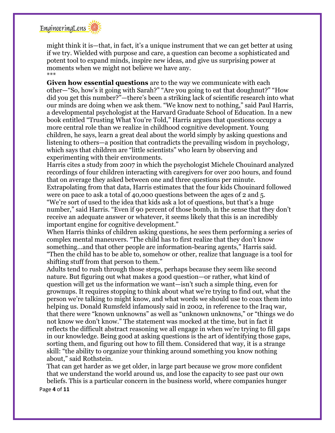

might think it is—that, in fact, it's a unique instrument that we can get better at using if we try. Wielded with purpose and care, a question can become a sophisticated and potent tool to expand minds, inspire new ideas, and give us surprising power at moments when we might not believe we have any. \*\*\*

**Given how essential questions** are to the way we communicate with each other—"So, how's it going with Sarah?" "Are you going to eat that doughnut?" "How did you get this number?"—there's been a striking lack of scientific research into what our minds are doing when we ask them. "We know next to nothing," said Paul Harris, a developmental psychologist at the Harvard Graduate School of Education. In a new book entitled "Trusting What You're Told," Harris argues that questions occupy a more central role than we realize in childhood cognitive development. Young children, he says, learn a great deal about the world simply by asking questions and listening to others—a position that contradicts the prevailing wisdom in psychology, which says that children are "little scientists" who learn by observing and experimenting with their environments.

Harris cites a study from 2007 in which the psychologist Michele Chouinard analyzed recordings of four children interacting with caregivers for over 200 hours, and found that on average they asked between one and three questions per minute.

Extrapolating from that data, Harris estimates that the four kids Chouinard followed were on pace to ask a total of 40,000 questions between the ages of 2 and 5.

"We're sort of used to the idea that kids ask a lot of questions, but that's a huge number," said Harris. "Even if 90 percent of those bomb, in the sense that they don't receive an adequate answer or whatever, it seems likely that this is an incredibly important engine for cognitive development."

When Harris thinks of children asking questions, he sees them performing a series of complex mental maneuvers. "The child has to first realize that they don't know something...and that other people are information-bearing agents," Harris said. "Then the child has to be able to, somehow or other, realize that language is a tool for shifting stuff from that person to them."

Adults tend to rush through those steps, perhaps because they seem like second nature. But figuring out what makes a good question—or rather, what kind of question will get us the information we want—isn't such a simple thing, even for grownups. It requires stopping to think about what we're trying to find out, what the person we're talking to might know, and what words we should use to coax them into helping us. Donald Rumsfeld infamously said in 2002, in reference to the Iraq war, that there were "known unknowns" as well as "unknown unknowns," or "things we do not know we don't know." The statement was mocked at the time, but in fact it reflects the difficult abstract reasoning we all engage in when we're trying to fill gaps in our knowledge. Being good at asking questions is the art of identifying those gaps, sorting them, and figuring out how to fill them. Considered that way, it is a strange skill: "the ability to organize your thinking around something you know nothing about," said Rothstein.

That can get harder as we get older, in large part because we grow more confident that we understand the world around us, and lose the capacity to see past our own beliefs. This is a particular concern in the business world, where companies hunger

Page **4** of **11**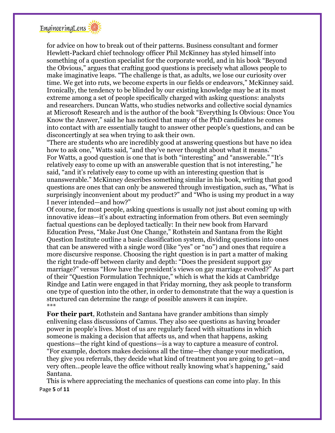

for advice on how to break out of their patterns. Business consultant and former Hewlett-Packard chief technology officer Phil McKinney has styled himself into something of a question specialist for the corporate world, and in his book "Beyond the Obvious," argues that crafting good questions is precisely what allows people to make imaginative leaps. "The challenge is that, as adults, we lose our curiosity over time. We get into ruts, we become experts in our fields or endeavors," McKinney said. Ironically, the tendency to be blinded by our existing knowledge may be at its most extreme among a set of people specifically charged with asking questions: analysts and researchers. Duncan Watts, who studies networks and collective social dynamics at Microsoft Research and is the author of the book "Everything Is Obvious: Once You Know the Answer," said he has noticed that many of the PhD candidates he comes into contact with are essentially taught to answer other people's questions, and can be disconcertingly at sea when trying to ask their own.

"There are students who are incredibly good at answering questions but have no idea how to ask one," Watts said, "and they've never thought about what it means." For Watts, a good question is one that is both "interesting" and "answerable." "It's relatively easy to come up with an answerable question that is not interesting," he said, "and it's relatively easy to come up with an interesting question that is unanswerable." McKinney describes something similar in his book, writing that good questions are ones that can only be answered through investigation, such as, "What is surprisingly inconvenient about my product?" and "Who is using my product in a way I never intended—and how?"

Of course, for most people, asking questions is usually not just about coming up with innovative ideas—it's about extracting information from others. But even seemingly factual questions can be deployed tactically: In their new book from Harvard Education Press, "Make Just One Change," Rothstein and Santana from the Right Question Institute outline a basic classification system, dividing questions into ones that can be answered with a single word (like "yes" or "no") and ones that require a more discursive response. Choosing the right question is in part a matter of making the right trade-off between clarity and depth: "Does the president support gay marriage?" versus "How have the president's views on gay marriage evolved?" As part of their "Question Formulation Technique," which is what the kids at Cambridge Rindge and Latin were engaged in that Friday morning, they ask people to transform one type of question into the other, in order to demonstrate that the way a question is structured can determine the range of possible answers it can inspire. \*\*\*

**For their part**, Rothstein and Santana have grander ambitions than simply enlivening class discussions of Camus. They also see questions as having broader power in people's lives. Most of us are regularly faced with situations in which someone is making a decision that affects us, and when that happens, asking questions—the right kind of questions—is a way to capture a measure of control. "For example, doctors makes decisions all the time—they change your medication, they give you referrals, they decide what kind of treatment you are going to get—and very often...people leave the office without really knowing what's happening," said Santana.

Page **5** of **11** This is where appreciating the mechanics of questions can come into play. In this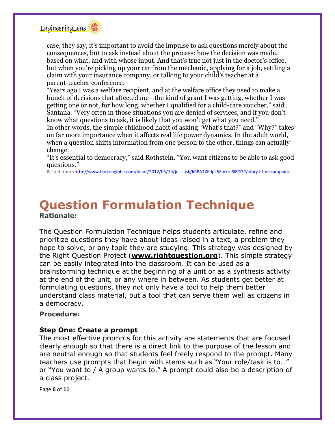

case, they say, it's important to avoid the impulse to ask questions merely about the consequences, but to ask instead about the process: how the decision was made, based on what, and with whose input. And that's true not just in the doctor's office, but when you're picking up your car from the mechanic, applying for a job, settling a claim with your insurance company, or talking to your child's teacher at a parent-teacher conference.

"Years ago I was a welfare recipient, and at the welfare office they used to make a bunch of decisions that affected me—the kind of grant I was getting, whether I was getting one or not, for how long, whether I qualified for a child-care voucher," said Santana. "Very often in those situations you are denied of services, and if you don't know what questions to ask, it is likely that you won't get what you need." In other words, the simple childhood habit of asking "What's that?" and "Why?" takes on far more importance when it affects real life power dynamics. In the adult world, when a question shifts information from one person to the other, things can actually change.

"It's essential to democracy," said Rothstein. "You want citizens to be able to ask good questions."

Pasted from [<http://www.bostonglobe.com/ideas/2012/05/19/just-ask/k9PATXFdpL6ZmkreSiRYGP/story.html?camp=id>](http://www.bostonglobe.com/ideas/2012/05/19/just-ask/k9PATXFdpL6ZmkreSiRYGP/story.html?camp=id)

# **Question Formulation Technique Rationale:**

The Question Formulation Technique helps students articulate, refine and prioritize questions they have about ideas raised in a text, a problem they hope to solve, or any topic they are studying. This strategy was designed by the Right Question Project (**[www.rightquestion.org](http://www.rightquestion.org/)**). This simple strategy can be easily integrated into the classroom. It can be used as a brainstorming technique at the beginning of a unit or as a synthesis activity at the end of the unit, or any where in between. As students get better at formulating questions, they not only have a tool to help them better understand class material, but a tool that can serve them well as citizens in a democracy.

#### **Procedure:**

### **Step One: Create a prompt**

The most effective prompts for this activity are statements that are focused clearly enough so that there is a direct link to the purpose of the lesson and are neutral enough so that students feel freely respond to the prompt. Many teachers use prompts that begin with stems such as "Your role/task is to…" or "You want to / A group wants to." A prompt could also be a description of a class project.

Page **6** of **11**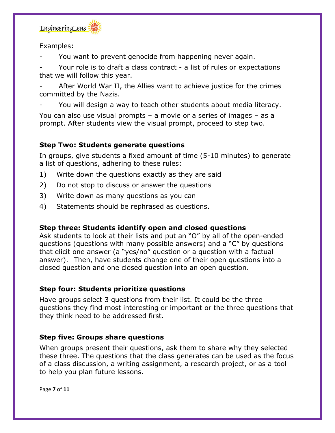

Examples:

You want to prevent genocide from happening never again.

Your role is to draft a class contract - a list of rules or expectations that we will follow this year.

After World War II, the Allies want to achieve justice for the crimes committed by the Nazis.

You will design a way to teach other students about media literacy.

You can also use visual prompts – a movie or a series of images – as a prompt. After students view the visual prompt, proceed to step two.

# **Step Two: Students generate questions**

In groups, give students a fixed amount of time (5-10 minutes) to generate a list of questions, adhering to these rules:

- 1) Write down the questions exactly as they are said
- 2) Do not stop to discuss or answer the questions
- 3) Write down as many questions as you can
- 4) Statements should be rephrased as questions.

## **Step three: Students identify open and closed questions**

Ask students to look at their lists and put an "O" by all of the open-ended questions (questions with many possible answers) and a "C" by questions that elicit one answer (a "yes/no" question or a question with a factual answer). Then, have students change one of their open questions into a closed question and one closed question into an open question.

## **Step four: Students prioritize questions**

Have groups select 3 questions from their list. It could be the three questions they find most interesting or important or the three questions that they think need to be addressed first.

## **Step five: Groups share questions**

When groups present their questions, ask them to share why they selected these three. The questions that the class generates can be used as the focus of a class discussion, a writing assignment, a research project, or as a tool to help you plan future lessons.

Page **7** of **11**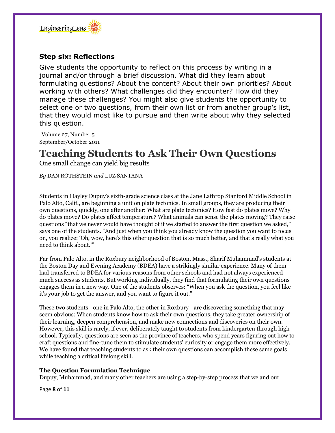

## **Step six: Reflections**

Give students the opportunity to reflect on this process by writing in a journal and/or through a brief discussion. What did they learn about formulating questions? About the content? About their own priorities? About working with others? What challenges did they encounter? How did they manage these challenges? You might also give students the opportunity to select one or two questions, from their own list or from another group's list, that they would most like to pursue and then write about why they selected this question.

Volume 27, Number 5 September/October 2011

# **Teaching Students to Ask Their Own Questions**

One small change can yield big results

*By* DAN ROTHSTEIN *and* LUZ SANTANA

Students in Hayley Dupuy's sixth-grade science class at the Jane Lathrop Stanford Middle School in Palo Alto, Calif., are beginning a unit on plate tectonics. In small groups, they are producing their own questions, quickly, one after another: What are plate tectonics? How fast do plates move? Why do plates move? Do plates affect temperature? What animals can sense the plates moving? They raise questions "that we never would have thought of if we started to answer the first question we asked," says one of the students. "And just when you think you already know the question you want to focus on, you realize: 'Oh, wow, here's this other question that is so much better, and that's really what you need to think about.'"

Far from Palo Alto, in the Roxbury neighborhood of Boston, Mass., Sharif Muhammad's students at the Boston Day and Evening Academy (BDEA) have a strikingly similar experience. Many of them had transferred to BDEA for various reasons from other schools and had not always experienced much success as students. But working individually, they find that formulating their own questions engages them in a new way. One of the students observes: "When you ask the question, you feel like it's your job to get the answer, and you want to figure it out."

These two students—one in Palo Alto, the other in Roxbury—are discovering something that may seem obvious: When students know how to ask their own questions, they take greater ownership of their learning, deepen comprehension, and make new connections and discoveries on their own. However, this skill is rarely, if ever, deliberately taught to students from kindergarten through high school. Typically, questions are seen as the province of teachers, who spend years figuring out how to craft questions and fine-tune them to stimulate students' curiosity or engage them more effectively. We have found that teaching students to ask their own questions can accomplish these same goals while teaching a critical lifelong skill.

#### **The Question Formulation Technique**

Dupuy, Muhammad, and many other teachers are using a step-by-step process that we and our

Page **8** of **11**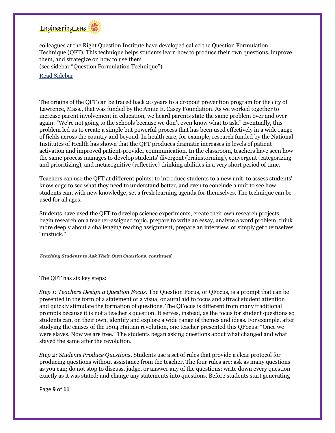

colleagues at the Right Question Institute have developed called the Question Formulation Technique (QFT). This technique helps students learn how to produce their own questions, improve them, and strategize on how to use them (see sidebar "Question Formulation Technique").

Read [Sidebar](http://hepg.org/hel/article/507)

The origins of the QFT can be traced back 20 years to a dropout prevention program for the city of Lawrence, Mass., that was funded by the Annie E. Casey Foundation. As we worked together to increase parent involvement in education, we heard parents state the same problem over and over again: "We're not going to the schools because we don't even know what to ask." Eventually, this problem led us to create a simple but powerful process that has been used effectively in a wide range of fields across the country and beyond. In health care, for example, research funded by the National Institutes of Health has shown that the QFT produces dramatic increases in levels of patient activation and improved patient-provider communication. In the classroom, teachers have seen how the same process manages to develop students' divergent (brainstorming), convergent (categorizing and prioritizing), and metacognitive (reflective) thinking abilities in a very short period of time.

Teachers can use the QFT at different points: to introduce students to a new unit, to assess students' knowledge to see what they need to understand better, and even to conclude a unit to see how students can, with new knowledge, set a fresh learning agenda for themselves. The technique can be used for all ages.

Students have used the QFT to develop science experiments, create their own research projects, begin research on a teacher-assigned topic, prepare to write an essay, analyze a word problem, think more deeply about a challenging reading assignment, prepare an interview, or simply get themselves "unstuck."

*Teaching Students to Ask Their Own Questions, continued*

The QFT has six key steps:

*Step 1: Teachers Design a Question Focus*. The Question Focus, or QFocus, is a prompt that can be presented in the form of a statement or a visual or aural aid to focus and attract student attention and quickly stimulate the formation of questions. The QFocus is different from many traditional prompts because it is not a teacher's question. It serves, instead, as the focus for student questions so students can, on their own, identify and explore a wide range of themes and ideas. For example, after studying the causes of the 1804 Haitian revolution, one teacher presented this QFocus: "Once we were slaves. Now we are free." The students began asking questions about what changed and what stayed the same after the revolution.

*Step 2: Students Produce Questions*. Students use a set of rules that provide a clear protocol for producing questions without assistance from the teacher. The four rules are: ask as many questions as you can; do not stop to discuss, judge, or answer any of the questions; write down every question exactly as it was stated; and change any statements into questions. Before students start generating

Page **9** of **11**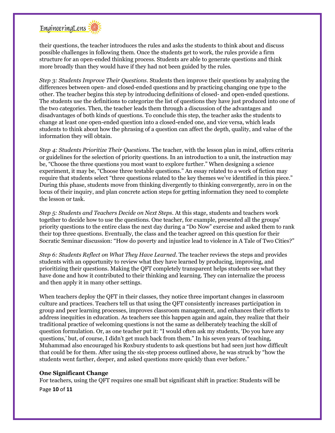

their questions, the teacher introduces the rules and asks the students to think about and discuss possible challenges in following them. Once the students get to work, the rules provide a firm structure for an open-ended thinking process. Students are able to generate questions and think more broadly than they would have if they had not been guided by the rules.

*Step 3: Students Improve Their Questions*. Students then improve their questions by analyzing the differences between open- and closed-ended questions and by practicing changing one type to the other. The teacher begins this step by introducing definitions of closed- and open-ended questions. The students use the definitions to categorize the list of questions they have just produced into one of the two categories. Then, the teacher leads them through a discussion of the advantages and disadvantages of both kinds of questions. To conclude this step, the teacher asks the students to change at least one open-ended question into a closed-ended one, and vice versa, which leads students to think about how the phrasing of a question can affect the depth, quality, and value of the information they will obtain.

*Step 4: Students Prioritize Their Questions*. The teacher, with the lesson plan in mind, offers criteria or guidelines for the selection of priority questions. In an introduction to a unit, the instruction may be, "Choose the three questions you most want to explore further." When designing a science experiment, it may be, "Choose three testable questions." An essay related to a work of fiction may require that students select "three questions related to the key themes we've identified in this piece." During this phase, students move from thinking divergently to thinking convergently, zero in on the locus of their inquiry, and plan concrete action steps for getting information they need to complete the lesson or task.

*Step 5: Students and Teachers Decide on Next Steps*. At this stage, students and teachers work together to decide how to use the questions. One teacher, for example, presented all the groups' priority questions to the entire class the next day during a "Do Now" exercise and asked them to rank their top three questions. Eventually, the class and the teacher agreed on this question for their Socratic Seminar discussion: "How do poverty and injustice lead to violence in A Tale of Two Cities?"

*Step 6: Students Reflect on What They Have Learned*. The teacher reviews the steps and provides students with an opportunity to review what they have learned by producing, improving, and prioritizing their questions. Making the QFT completely transparent helps students see what they have done and how it contributed to their thinking and learning. They can internalize the process and then apply it in many other settings.

When teachers deploy the QFT in their classes, they notice three important changes in classroom culture and practices. Teachers tell us that using the QFT consistently increases participation in group and peer learning processes, improves classroom management, and enhances their efforts to address inequities in education. As teachers see this happen again and again, they realize that their traditional practice of welcoming questions is not the same as deliberately teaching the skill of question formulation. Or, as one teacher put it: "I would often ask my students, 'Do you have any questions,' but, of course, I didn't get much back from them." In his seven years of teaching, Muhammad also encouraged his Roxbury students to ask questions but had seen just how difficult that could be for them. After using the six-step process outlined above, he was struck by "how the students went farther, deeper, and asked questions more quickly than ever before."

#### **One Significant Change**

For teachers, using the QFT requires one small but significant shift in practice: Students will be

Page **10** of **11**